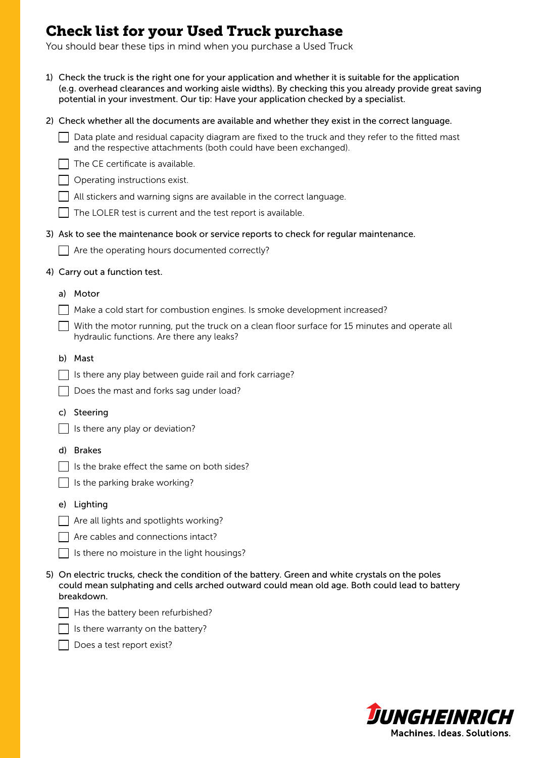## Check list for your Used Truck purchase

 $\Box$  Has the battery been refurbished?  $\Box$  Is there warranty on the battery?

Does a test report exist?

You should bear these tips in mind when you purchase a Used Truck

| 1) Check the truck is the right one for your application and whether it is suitable for the application<br>(e.g. overhead clearances and working aisle widths). By checking this you already provide great saving<br>potential in your investment. Our tip: Have your application checked by a specialist. |
|------------------------------------------------------------------------------------------------------------------------------------------------------------------------------------------------------------------------------------------------------------------------------------------------------------|
| 2) Check whether all the documents are available and whether they exist in the correct language.                                                                                                                                                                                                           |
| Data plate and residual capacity diagram are fixed to the truck and they refer to the fitted mast<br>and the respective attachments (both could have been exchanged).                                                                                                                                      |
| The CE certificate is available.                                                                                                                                                                                                                                                                           |
| Operating instructions exist.                                                                                                                                                                                                                                                                              |
| All stickers and warning signs are available in the correct language.                                                                                                                                                                                                                                      |
| The LOLER test is current and the test report is available.                                                                                                                                                                                                                                                |
| 3) Ask to see the maintenance book or service reports to check for regular maintenance.                                                                                                                                                                                                                    |
| Are the operating hours documented correctly?                                                                                                                                                                                                                                                              |
| 4) Carry out a function test.                                                                                                                                                                                                                                                                              |
| Motor<br>a)                                                                                                                                                                                                                                                                                                |
| Make a cold start for combustion engines. Is smoke development increased?                                                                                                                                                                                                                                  |
| With the motor running, put the truck on a clean floor surface for 15 minutes and operate all<br>hydraulic functions. Are there any leaks?                                                                                                                                                                 |
| b) Mast                                                                                                                                                                                                                                                                                                    |
| Is there any play between guide rail and fork carriage?                                                                                                                                                                                                                                                    |
| Does the mast and forks sag under load?                                                                                                                                                                                                                                                                    |
| Steering<br>C)                                                                                                                                                                                                                                                                                             |
| Is there any play or deviation?                                                                                                                                                                                                                                                                            |
|                                                                                                                                                                                                                                                                                                            |
| d) Brakes<br>Is the brake effect the same on both sides?                                                                                                                                                                                                                                                   |
| Is the parking brake working?                                                                                                                                                                                                                                                                              |
|                                                                                                                                                                                                                                                                                                            |
| Lighting<br>e)                                                                                                                                                                                                                                                                                             |
| Are all lights and spotlights working?                                                                                                                                                                                                                                                                     |
| Are cables and connections intact?                                                                                                                                                                                                                                                                         |
| Is there no moisture in the light housings?                                                                                                                                                                                                                                                                |
| 5) On electric trucks, check the condition of the battery. Green and white crystals on the poles<br>could mean sulphating and cells arched outward could mean old age. Both could lead to battery<br>breakdown.                                                                                            |